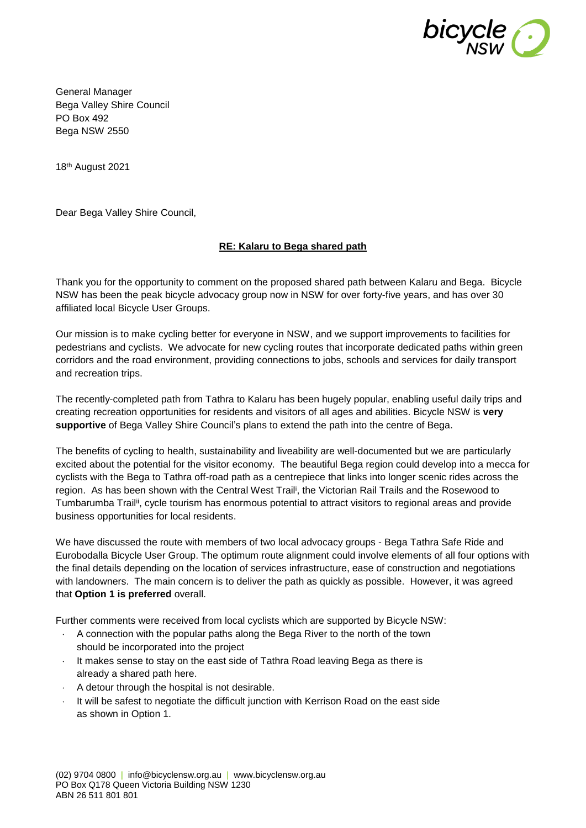

General Manager Bega Valley Shire Council PO Box 492 Bega NSW 2550

18 th August 2021

Dear Bega Valley Shire Council,

## **RE: Kalaru to Bega shared path**

Thank you for the opportunity to comment on the proposed shared path between Kalaru and Bega. Bicycle NSW has been the peak bicycle advocacy group now in NSW for over forty-five years, and has over 30 affiliated local Bicycle User Groups.

Our mission is to make cycling better for everyone in NSW, and we support improvements to facilities for pedestrians and cyclists. We advocate for new cycling routes that incorporate dedicated paths within green corridors and the road environment, providing connections to jobs, schools and services for daily transport and recreation trips.

The recently-completed path from Tathra to Kalaru has been hugely popular, enabling useful daily trips and creating recreation opportunities for residents and visitors of all ages and abilities. Bicycle NSW is **very supportive** of Bega Valley Shire Council's plans to extend the path into the centre of Bega.

The benefits of cycling to health, sustainability and liveability are well-documented but we are particularly excited about the potential for the visitor economy. The beautiful Bega region could develop into a mecca for cyclists with the Bega to Tathra off-road path as a centrepiece that links into longer scenic rides across the region. As has been shown with the Central West Trail<sup>i</sup>, the Victorian Rail Trails and the Rosewood to Tumbarumba Trail<sup>ii</sup>, cycle tourism has enormous potential to attract visitors to regional areas and provide business opportunities for local residents.

We have discussed the route with members of two local advocacy groups - Bega Tathra Safe Ride and Eurobodalla Bicycle User Group. The optimum route alignment could involve elements of all four options with the final details depending on the location of services infrastructure, ease of construction and negotiations with landowners. The main concern is to deliver the path as quickly as possible. However, it was agreed that **Option 1 is preferred** overall.

Further comments were received from local cyclists which are supported by Bicycle NSW:

- A connection with the popular paths along the Bega River to the north of the town should be incorporated into the project
- $\cdot$  It makes sense to stay on the east side of Tathra Road leaving Bega as there is already a shared path here.
- $\cdot$  A detour through the hospital is not desirable.
- It will be safest to negotiate the difficult junction with Kerrison Road on the east side as shown in Option 1.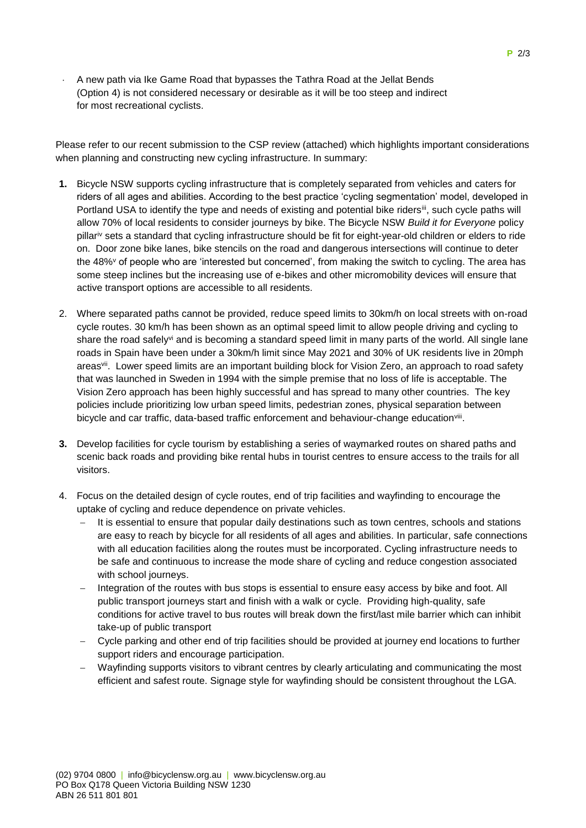A new path via Ike Game Road that bypasses the Tathra Road at the Jellat Bends (Option 4) is not considered necessary or desirable as it will be too steep and indirect for most recreational cyclists.

Please refer to our recent submission to the CSP review (attached) which highlights important considerations when planning and constructing new cycling infrastructure. In summary:

- **1.** Bicycle NSW supports cycling infrastructure that is completely separated from vehicles and caters for riders of all ages and abilities. According to the best practice 'cycling segmentation' model, developed in Portland USA to identify the type and needs of existing and potential bike ridersiii, such cycle paths will allow 70% of local residents to consider journeys by bike. The Bicycle NSW *Build it for Everyone* policy pillariv sets a standard that cycling infrastructure should be fit for eight-year-old children or elders to ride on. Door zone bike lanes, bike stencils on the road and dangerous intersections will continue to deter the 48%<sup>v</sup> of people who are 'interested but concerned', from making the switch to cycling. The area has some steep inclines but the increasing use of e-bikes and other micromobility devices will ensure that active transport options are accessible to all residents.
- 2. Where separated paths cannot be provided, reduce speed limits to 30km/h on local streets with on-road cycle routes. 30 km/h has been shown as an optimal speed limit to allow people driving and cycling to share the road safely<sup>vi</sup> and is becoming a standard speed limit in many parts of the world. All single lane roads in Spain have been under a 30km/h limit since May 2021 and 30% of UK residents live in 20mph areas<sup>vii</sup>. Lower speed limits are an important building block for Vision Zero, an approach to road safety that was launched in Sweden in 1994 with the simple premise that no loss of life is acceptable. The Vision Zero approach has been highly successful and has spread to many other countries. The key policies include prioritizing low urban speed limits, pedestrian zones, physical separation between bicycle and car traffic, data-based traffic enforcement and behaviour-change education<sup>viii</sup>.
- **3.** Develop facilities for cycle tourism by establishing a series of waymarked routes on shared paths and scenic back roads and providing bike rental hubs in tourist centres to ensure access to the trails for all visitors.
- 4. Focus on the detailed design of cycle routes, end of trip facilities and wayfinding to encourage the uptake of cycling and reduce dependence on private vehicles.
	- It is essential to ensure that popular daily destinations such as town centres, schools and stations are easy to reach by bicycle for all residents of all ages and abilities. In particular, safe connections with all education facilities along the routes must be incorporated. Cycling infrastructure needs to be safe and continuous to increase the mode share of cycling and reduce congestion associated with school journeys.
	- Integration of the routes with bus stops is essential to ensure easy access by bike and foot. All public transport journeys start and finish with a walk or cycle. Providing high-quality, safe conditions for active travel to bus routes will break down the first/last mile barrier which can inhibit take-up of public transport
	- Cycle parking and other end of trip facilities should be provided at journey end locations to further support riders and encourage participation.
	- Wayfinding supports visitors to vibrant centres by clearly articulating and communicating the most efficient and safest route. Signage style for wayfinding should be consistent throughout the LGA.